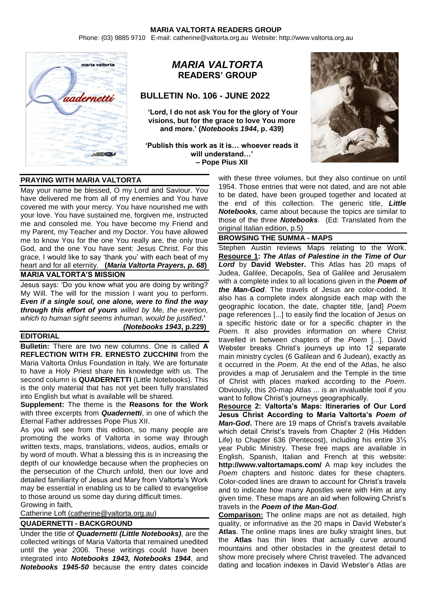Phone: (03) 9885 9710 E-mail: catherine@valtorta.org.au Website: http://www.valtorta.org.au



# *MARIA VALTORTA* **READERS' GROUP**

# **BULLETIN No. 106 - JUNE 2022**

**'Lord, I do not ask You for the glory of Your visions, but for the grace to love You more and more.' (***Notebooks 1944***, p. 439)**

**'Publish this work as it is… whoever reads it will understand…' – Pope Pius XII**



# **PRAYING WITH MARIA VALTORTA**

May your name be blessed, O my Lord and Saviour. You have delivered me from all of my enemies and You have covered me with your mercy. You have nourished me with your love. You have sustained me, forgiven me, instructed me and consoled me. You have become my Friend and my Parent, my Teacher and my Doctor. You have allowed me to know You for the one You really are, the only true God, and the one You have sent: Jesus Christ. For this grace, I would like to say 'thank you' with each beat of my heart and for all eternity. **(***Maria Valtorta Prayers, p. 68***)**

## **MARIA VALTORTA'S MISSION**

Jesus says: 'Do you know what you are doing by writing? My Will. The will for the mission I want you to perform. *Even if a single soul, one alone, were to find the way through this effort of yours willed by Me, the exertion, which to human sight seems inhuman, would be justified***.'** *(Notebooks 1943***, p.229)**

#### **EDITORIAL**

**Bulletin:** There are two new columns. One is called **A REFLECTION WITH FR. ERNESTO ZUCCHINI** from the Maria Valtorta Onlus Foundation in Italy. We are fortunate to have a Holy Priest share his knowledge with us. The second column is **QUADERNETTI** (Little Notebooks). This is the only material that has not yet been fully translated into English but what is available will be shared.

**Supplement:** The theme is the **Reasons for the Work** with three excerpts from *Quadernetti*, in one of which the Eternal Father addresses Pope Pius XII.

As you will see from this edition, so many people are promoting the works of Valtorta in some way through written texts, maps, translations, videos, audios, emails or by word of mouth. What a blessing this is in increasing the depth of our knowledge because when the prophecies on the persecution of the Church unfold, then our love and detailed familiarity of Jesus and Mary from Valtorta's Work may be essential in enabling us to be called to evangelise to those around us some day during difficult times.

Growing in faith,

Catherine Loft [\(catherine@valtorta.org.au\)](mailto:catherine@valtorta.org.au)

#### **QUADERNETTI - BACKGROUND**

Under the title of *Quadernetti (Little Notebooks)*, are the collected writings of Maria Valtorta that remained unedited until the year 2006. These writings could have been integrated into *Notebooks 1943, Notebooks 1944*, and *Notebooks 1945-50* because the entry dates coincide

with these three volumes, but they also continue on until 1954. Those entries that were not dated, and are not able to be dated, have been grouped together and located at the end of this collection. The generic title, *Little Notebooks,* came about because the topics are similar to those of the three *Notebooks.* (Ed: Translated from the original Italian edition, p.5)

#### **BROWSING THE SUMMA - MAPS**

Stephen Austin reviews Maps relating to the Work. **Resource 1:** *The Atlas of Palestine in the Time of Our Lord* by **David Webster.** This Atlas has 20 maps of Judea, Galilee, Decapolis, Sea of Galilee and Jerusalem with a complete index to all locations given in the *Poem of the Man-God*. The travels of Jesus are color-coded. It also has a complete index alongside each map with the geographic location, the date, chapter title, [and] *Poem*  page references [...] to easily find the location of Jesus on a specific historic date or for a specific chapter in the *Poem.* It also provides information on where Christ travelled in between chapters of the *Poem* [...]. David Webster breaks Christ's journeys up into 12 separate main ministry cycles (6 Galilean and 6 Judean), exactly as it occurred in the *Poem*. At the end of the Atlas, he also provides a map of Jerusalem and the Temple in the time of Christ with places marked according to the *Poem*. Obviously, this 20-map Atlas ... is an invaluable tool if you want to follow Christ's journeys geographically.

**Resource 2: Valtorta's Maps: Itineraries of Our Lord Jesus Christ According to Maria Valtorta's** *Poem of Man-God***.** There are 19 maps of Christ's travels available which detail Christ's travels from Chapter 2 (His Hidden Life) to Chapter 636 (Pentecost), including his entire 3⅓ year Public Ministry. These free maps are available in English, Spanish, Italian and French at this website: **http://www.valtortamaps.com/** A map key includes the *Poem* chapters and historic dates for these chapters. Color-coded lines are drawn to account for Christ's travels and to indicate how many Apostles were with Him at any given time. These maps are an aid when following Christ's travels in the *Poem of the Man-God*.

**Comparison:** The online maps are not as detailed, high quality, or informative as the 20 maps in David Webster's **Atlas**. The online maps lines are bulky straight lines, but the **Atlas** has thin lines that actually curve around mountains and other obstacles in the greatest detail to show more precisely where Christ traveled. The advanced dating and location indexes in David Webster's Atlas are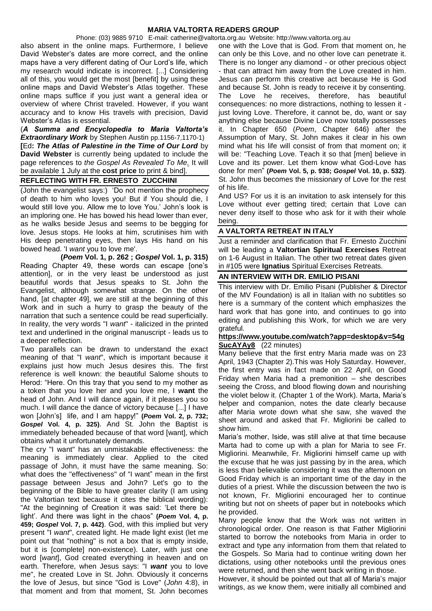Phone: (03) 9885 9710 E-mail: catherine@valtorta.org.au Website: http://www.valtorta.org.au

also absent in the online maps. Furthermore, I believe David Webster's dates are more correct, and the online maps have a very different dating of Our Lord's life, which my research would indicate is incorrect. [...] Considering all of this, you would get the most [benefit] by using these online maps and David Webster's Atlas together. These online maps suffice if you just want a general idea or overview of where Christ traveled. However, if you want accuracy and to know His travels with precision, David Webster's Atlas is essential.

(*A Summa and Encyclopedia to Maria Valtorta's Extraordinary Work* by Stephen Austin pp.1156-7,1170-1) **[**Ed**:** *The Atlas of Palestine in the Time of Our Lord* by **David Webster** is currently being updated to include the page references to *the Gospel As Revealed To Me.* It will be available 1 July at the **cost price** to print & bind].

# **REFLECTING WITH FR. ERNESTO ZUCCHINI**

(John the evangelist says:) 'Do not mention the prophecy of death to him who loves you! But if You should die, I would still love you. Allow me to love You.' John's look is an imploring one. He has bowed his head lower than ever, as he walks beside Jesus and seems to be begging for love. Jesus stops. He looks at him, scrutinises him with His deep penetrating eyes, then lays His hand on his bowed head. 'I *want* you to love me'.

**(***Poem* **Vol. 1, p. 262 ;** *Gospel* **Vol. 1, p. 315)** Reading Chapter 49, these words can escape [one's attention], or in the very least be understood as just beautiful words that Jesus speaks to St. John the Evangelist, although somewhat strange. On the other hand, [at chapter 49], we are still at the beginning of this Work and in such a hurry to grasp the beauty of the narration that such a sentence could be read superficially. In reality, the very words "I *want*" - italicized in the printed text and underlined in the original manuscript - leads us to a deeper reflection.

Two parallels can be drawn to understand the exact meaning of that "I *want*", which is important because it explains just how much Jesus desires this. The first reference is well known: the beautiful Salome shouts to Herod: "Here. On this tray that you send to my mother as a token that you love her and you love me, I **want** the head of John. And I will dance again, if it pleases you so much. I will dance the dance of victory because [...] I have won [John's] life, and I am happy!" **(***Poem* **Vol. 2, p. 732;**  *Gospel* **Vol. 4, p. 325)**. And St. John the Baptist is immediately beheaded because of that word [want], which obtains what it unfortunately demands.

The cry "I want" has an unmistakable effectiveness: the meaning is immediately clear. Applied to the cited passage of John, it must have the same meaning. So: what does the "effectiveness" of "I want" mean in the first passage between Jesus and John? Let's go to the beginning of the Bible to have greater clarity (I am using the Valtortian text because it cites the biblical wording): "At the beginning of Creation it was said: 'Let there be light'. And there was light in the chaos" **(***Poem* **Vol. 4, p. 459;** *Gospel* **Vol. 7, p. 442)**. God, with this implied but very present "I *want*", created light. He made light exist (let me point out that "nothing" is not a box that is empty inside, but it is [complete] non-existence). Later, with just one word [*want*], God created everything in heaven and on earth. Therefore, when Jesus says: "I *want* you to love me", he created Love in St. John. Obviously it concerns the love of Jesus, but since "God is Love" (*John* 4:8), in that moment and from that moment, St. John becomes

one with the Love that is God. From that moment on, he can only be this Love, and no other love can penetrate it. There is no longer any diamond - or other precious object - that can attract him away from the Love created in him. Jesus can perform this creative act because He is God and because St. John is ready to receive it by consenting. The Love he receives, therefore, has beautiful consequences: no more distractions, nothing to lessen it just loving Love. Therefore, it cannot be, do, want or say anything else because Divine Love now totally possesses it. In Chapter 650 (*Poem*, Chapter 646) after the Assumption of Mary, St. John makes it clear in his own mind what his life will consist of from that moment on; it will be: "Teaching Love. Teach it so that [men] believe in Love and its power. Let them know what God-Love has done for men" **(***Poem* **Vol. 5, p. 938;** *Gospel* **Vol. 10, p. 532)**. St. John thus becomes the missionary of Love for the rest of his life.

And US? For us it is an invitation to ask intensely for this Love without ever getting tired; certain that Love can never deny itself to those who ask for it with their whole being.

## **A VALTORTA RETREAT IN ITALY**

Just a reminder and clarification that Fr. Ernesto Zucchini will be leading a **Valtortian Spiritual Exercises** Retreat on 1-6 August in Italian. The other two retreat dates given in #105 were **Ignatius** Spiritual Exercises Retreats.

## **AN INTERVIEW WITH DR. EMILIO PISANI**

This interview with Dr. Emilio Pisani (Publisher & Director of the MV Foundation) is all in Italian with no subtitles so here is a summary of the content which emphasizes the hard work that has gone into, and continues to go into editing and publishing this Work, for which we are very grateful.

#### **[https://www.youtube.com/watch?app=desktop&v=54g](https://www.youtube.com/watch?app=desktop&v=54gSucAYAy8) [SucAYAy8](https://www.youtube.com/watch?app=desktop&v=54gSucAYAy8)** (22 minutes)

Many believe that the first entry Maria made was on 23 April, 1943 (Chapter 2).This was Holy Saturday. However, the first entry was in fact made on 22 April, on Good Friday when Maria had a premonition – she describes seeing the Cross, and blood flowing down and nourishing the violet below it. (Chapter 1 of the Work). Marta, Maria's helper and companion, notes the date clearly because after Maria wrote down what she saw, she waved the sheet around and asked that Fr. Migliorini be called to show him.

Maria's mother, Iside, was still alive at that time because Marta had to come up with a plan for Maria to see Fr. Migliorini. Meanwhile, Fr. Migliorini himself came up with the excuse that he was just passing by in the area, which is less than believable considering it was the afternoon on Good Friday which is an important time of the day in the duties of a priest. While the discussion between the two is not known, Fr. Migliorini encouraged her to continue writing but not on sheets of paper but in notebooks which he provided.

Many people know that the Work was not written in chronological order. One reason is that Father Migliorini started to borrow the notebooks from Maria in order to extract and type any information from them that related to the Gospels. So Maria had to continue writing down her dictations, using other notebooks until the previous ones were returned, and then she went back writing in those.

However, it should be pointed out that all of Maria's major writings, as we know them, were initially all combined and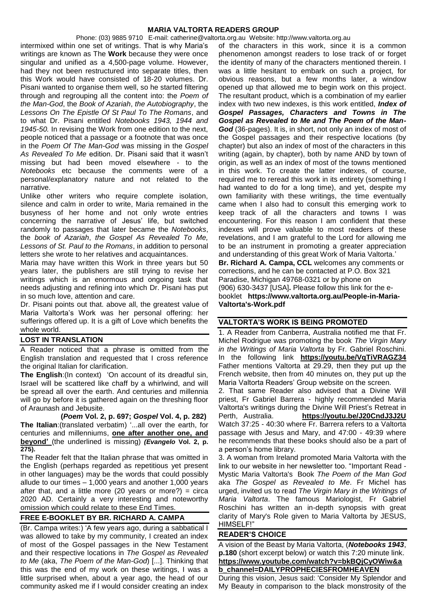Phone: (03) 9885 9710 E-mail: catherine@valtorta.org.au Website: http://www.valtorta.org.au intermixed within one set of writings. That is why Maria's writings are known as The **Work** because they were once singular and unified as a 4,500-page volume. However, had they not been restructured into separate titles, then this Work would have consisted of 18-20 volumes. Dr. Pisani wanted to organise them well, so he started filtering through and regrouping all the content into: the *Poem of the Man-God*, the *Book of Azariah*, *the Autobiography*, the *Lessons On The Epistle Of St Paul To The Romans*, and to what Dr. Pisani entitled *Notebooks 1943, 1944 and 1945-50.* In revising the Work from one edition to the next, people noticed that a passage or a footnote that was once in the *Poem Of The Man-God* was missing in the *Gospel As Revealed To Me* edition. Dr. Pisani said that it wasn't missing but had been moved elsewhere - to the *Notebooks* etc because the comments were of a personal/explanatory nature and not related to the narrative.

Unlike other writers who require complete isolation, silence and calm in order to write, Maria remained in the busyness of her home and not only wrote entries concerning the narrative of Jesus' life, but switched randomly to passages that later became the *Notebooks*, the *book of Azariah*, *the Gospel As Revealed To Me, Lessons of St. Paul to the Romans*, in addition to personal letters she wrote to her relatives and acquaintances.

Maria may have written this Work in three years but 50 years later, the publishers are still trying to revise her writings which is an enormous and ongoing task that needs adjusting and refining into which Dr. Pisani has put in so much love, attention and care.

Dr. Pisani points out that. above all, the greatest value of Maria Valtorta's Work was her personal offering: her sufferings offered up. It is a gift of Love which benefits the whole world.

# **LOST IN TRANSLATION**

A Reader noticed that a phrase is omitted from the English translation and requested that I cross reference the original Italian for clarification.

**The English**:(In context) 'On account of its dreadful sin, Israel will be scattered like chaff by a whirlwind, and will be spread all over the earth. And centuries and millennia will go by before it is gathered again on the threshing floor of Araunash and Jebusite.

 **(***Poem* **Vol. 2, p. 697;** *Gospel* **Vol. 4, p. 282) The Italian**:(translated verbatim) '...all over the earth, for centuries and millenniums, **one after another one, and beyond'** (the underlined is missing) *(Evangelo* **Vol. 2, p. 275).**

The Reader felt that the Italian phrase that was omitted in the English (perhaps regarded as repetitious yet present in other languages) may be the words that could possibly allude to our times – 1,000 years and another 1,000 years after that, and a little more (20 years or more?) = circa 2020 AD. Certainly a very interesting and noteworthy omission which could relate to these End Times.

# **FREE E-BOOKLET BY BR. RICHARD A. CAMPA**

(Br. Campa writes:) 'A few years ago, during a sabbatical I was allowed to take by my community, I created an index of most of the Gospel passages in the New Testament and their respective locations in *The Gospel as Revealed to Me* (aka, *The Poem of the Man-God*) [...]. Thinking that this was the end of my work on these writings, I was a little surprised when, about a year ago, the head of our community asked me if I would consider creating an index

of the characters in this work, since it is a common phenomenon amongst readers to lose track of or forget the identity of many of the characters mentioned therein. I was a little hesitant to embark on such a project, for obvious reasons, but a few months later, a window opened up that allowed me to begin work on this project. The resultant product, which is a combination of my earlier index with two new indexes, is this work entitled, *Index of Gospel Passages, Characters and Towns in The Gospel as Revealed to Me and The Poem of the Man-God* (36-pages). It is, in short, not only an index of most of the Gospel passages and their respective locations (by chapter) but also an index of most of the characters in this writing (again, by chapter), both by name AND by town of origin, as well as an index of most of the towns mentioned in this work. To create the latter indexes, of course, required me to reread this work in its entirety (something I had wanted to do for a long time), and yet, despite my own familiarity with these writings, the time eventually came when I also had to consult this emerging work to keep track of all the characters and towns I was encountering. For this reason I am confident that these indexes will prove valuable to most readers of these revelations, and I am grateful to the Lord for allowing me to be an instrument in promoting a greater appreciation and understanding of this great Work of Maria Valtorta.' **Br. Richard A. Campa, CCL** welcomes any comments or corrections, and he can be contacted at P.O. Box 321 Paradise, Michigan 49768-0321 or by phone on (906) 630-3437 [USA]**.** Please follow this link for the ebooklet **[https://www.valtorta.org.au/People-in-Maria-](https://www.valtorta.org.au/People-in-Maria-Valtorta)[Valtorta's-Work.pdf](https://www.valtorta.org.au/People-in-Maria-Valtorta)**

# **VALTORTA'S WORK IS BEING PROMOTED**

1. A Reader from Canberra, Australia notified me that Fr. Michel Rodrigue was promoting the book *The Virgin Mary in the Writings of Maria Valtorta* by Fr. Gabriel Roschini. In the following link **<https://youtu.be/VqTiVRAGZ34>** Father mentions Valtorta at 29.29, then they put up the French website, then from 40 minutes on, they put up the Maria Valtorta Readers' Group website on the screen.

2. That same Reader also advised that a Divine Will priest, Fr Gabriel Barrera - highly recommended Maria Valtorta's writings during the Divine Will Priest's Retreat in Perth, Australia. **<https://youtu.be/J20CndJ3J2U>** Watch 37:25 - 40:30 where Fr. Barrera refers to a Valtorta passage with Jesus and Mary, and 47:00 - 49:39 where he recommends that these books should also be a part of a person's home library.

3. A woman from Ireland promoted Maria Valtorta with the link to our website in her newsletter too. "Important Read - Mystic Maria Valtorta's Book *The Poem of the Man God* aka *The Gospel as Revealed to Me*. Fr Michel has urged, invited us to read *The Virgin Mary in the Writings of Maria Valtorta*. The famous Mariologist, Fr Gabriel Roschini has written an in-depth synopsis with great clarity of Mary's Role given to Maria Valtorta by JESUS, HIMSELF!"

# **READER'S CHOICE**

A vision of the Beast by Maria Valtorta, (*Notebooks 1943*, **p.180** (short excerpt below) or watch this 7:20 minute link. **[https://www.youtube.com/watch?v=bkBQjCyOWiw&a](https://www.youtube.com/watch?v=bkBQjCyOWiw&ab_channel=DAILYPROPHECIESFROMHEAVEN) [b\\_channel=DAILYPROPHECIESFROMHEAVEN](https://www.youtube.com/watch?v=bkBQjCyOWiw&ab_channel=DAILYPROPHECIESFROMHEAVEN)**

During this vision, Jesus said: 'Consider My Splendor and My Beauty in comparison to the black monstrosity of the